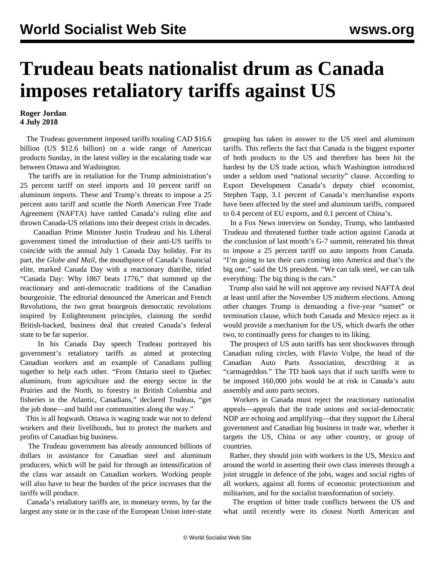## **Trudeau beats nationalist drum as Canada imposes retaliatory tariffs against US**

## **Roger Jordan 4 July 2018**

 The Trudeau government imposed tariffs totaling CAD \$16.6 billion (US \$12.6 billion) on a wide range of American products Sunday, in the latest volley in the escalating trade war between Ottawa and Washington.

 The tariffs are in retaliation for the Trump administration's 25 percent tariff on steel imports and 10 percent tariff on aluminum imports. These and Trump's threats to impose a 25 percent auto tariff and scuttle the North American Free Trade Agreement (NAFTA) have rattled Canada's ruling elite and thrown Canada-US relations into their deepest crisis in decades.

 Canadian Prime Minister Justin Trudeau and his Liberal government timed the introduction of their anti-US tariffs to coincide with the annual July 1 Canada Day holiday. For its part, the *Globe and Mail*, the mouthpiece of Canada's financial elite, marked Canada Day with a reactionary diatribe, titled "Canada Day: Why 1867 beats 1776," that summed up the reactionary and anti-democratic traditions of the Canadian bourgeoisie. The editorial denounced the American and French Revolutions, the two great bourgeois democratic revolutions inspired by Enlightenment principles, claiming the sordid British-backed, business deal that created Canada's federal state to be far superior.

 In his Canada Day speech Trudeau portrayed his government's retaliatory tariffs as aimed at protecting Canadian workers and an example of Canadians pulling together to help each other. "From Ontario steel to Quebec aluminum, from agriculture and the energy sector in the Prairies and the North, to forestry in British Columbia and fisheries in the Atlantic, Canadians," declared Trudeau, "get the job done—and build our communities along the way."

 This is all hogwash. Ottawa is waging trade war not to defend workers and their livelihoods, but to protect the markets and profits of Canadian big business.

 The Trudeau government has already announced billions of dollars in assistance for Canadian steel and aluminum producers, which will be paid for through an intensification of the class war assault on Canadian workers. Working people will also have to bear the burden of the price increases that the tariffs will produce.

 Canada's retaliatory tariffs are, in monetary terms, by far the largest any state or in the case of the European Union inter-state grouping has taken in answer to the US steel and aluminum tariffs. This reflects the fact that Canada is the biggest exporter of both products to the US and therefore has been hit the hardest by the US trade action, which Washington introduced under a seldom used "national security" clause. According to Export Development Canada's deputy chief economist, Stephen Tapp, 3.1 percent of Canada's merchandise exports have been affected by the steel and aluminum tariffs, compared to 0.4 percent of EU exports, and 0.1 percent of China's.

 In a Fox News interview on Sunday, Trump, who lambasted Trudeau and threatened further trade action against Canada at the conclusion of last month's G-7 summit, reiterated his threat to impose a 25 percent tariff on auto imports from Canada. "I'm going to tax their cars coming into America and that's the big one," said the US president. "We can talk steel, we can talk everything: The big thing is the cars."

 Trump also said he will not approve any revised NAFTA deal at least until after the November US midterm elections. Among other changes Trump is demanding a five-year "sunset" or termination clause, which both Canada and Mexico reject as it would provide a mechanism for the US, which dwarfs the other two, to continually press for changes to its liking.

 The prospect of US auto tariffs has sent shockwaves through Canadian ruling circles, with Flavio Volpe, the head of the Canadian Auto Parts Association, describing it as "carmageddon." The TD bank says that if such tariffs were to be imposed 160,000 jobs would be at risk in Canada's auto assembly and auto parts sectors.

 Workers in Canada must reject the reactionary nationalist appeals—appeals that the trade unions and social-democratic NDP are echoing and amplifying—that they support the Liberal government and Canadian big business in trade war, whether it targets the US, China or any other country, or group of countries.

 Rather, they should join with workers in the US, Mexico and around the world in asserting their own class interests through a joint struggle in defence of the jobs, wages and social rights of all workers, against all forms of economic protectionism and militarism, and for the socialist transformation of society.

 The eruption of bitter trade conflicts between the US and what until recently were its closest North American and